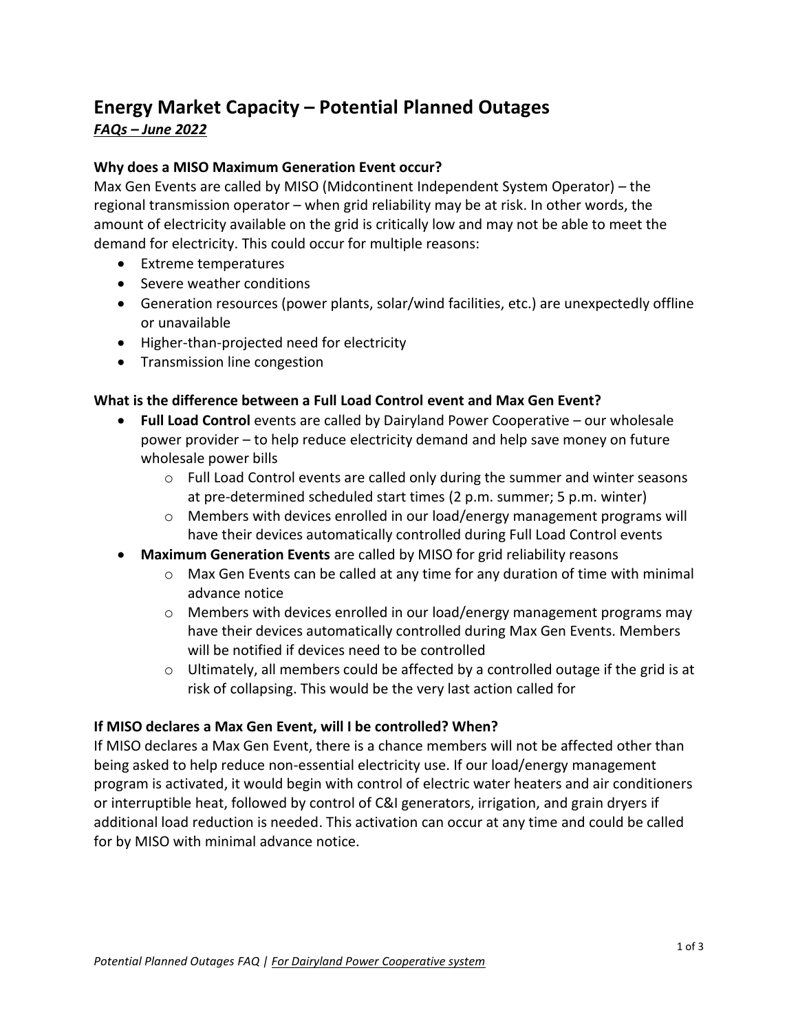# **Energy Market Capacity – Potential Planned Outages**  *FAQs – June 2022*

#### **Why does a MISO Maximum Generation Event occur?**

Max Gen Events are called by MISO (Midcontinent Independent System Operator) – the regional transmission operator – when grid reliability may be at risk. In other words, the amount of electricity available on the grid is critically low and may not be able to meet the demand for electricity. This could occur for multiple reasons:

- Extreme temperatures
- Severe weather conditions
- Generation resources (power plants, solar/wind facilities, etc.) are unexpectedly offline or unavailable
- Higher-than-projected need for electricity
- Transmission line congestion

#### **What is the difference between a Full Load Control event and Max Gen Event?**

- **Full Load Control** events are called by Dairyland Power Cooperative our wholesale power provider – to help reduce electricity demand and help save money on future wholesale power bills
	- $\circ$  Full Load Control events are called only during the summer and winter seasons at pre-determined scheduled start times (2 p.m. summer; 5 p.m. winter)
	- o Members with devices enrolled in our load/energy management programs will have their devices automatically controlled during Full Load Control events
- **Maximum Generation Events** are called by MISO for grid reliability reasons
	- $\circ$  Max Gen Events can be called at any time for any duration of time with minimal advance notice
	- $\circ$  Members with devices enrolled in our load/energy management programs may have their devices automatically controlled during Max Gen Events. Members will be notified if devices need to be controlled
	- $\circ$  Ultimately, all members could be affected by a controlled outage if the grid is at risk of collapsing. This would be the very last action called for

#### **If MISO declares a Max Gen Event, will I be controlled? When?**

If MISO declares a Max Gen Event, there is a chance members will not be affected other than being asked to help reduce non-essential electricity use. If our load/energy management program is activated, it would begin with control of electric water heaters and air conditioners or interruptible heat, followed by control of C&I generators, irrigation, and grain dryers if additional load reduction is needed. This activation can occur at any time and could be called for by MISO with minimal advance notice.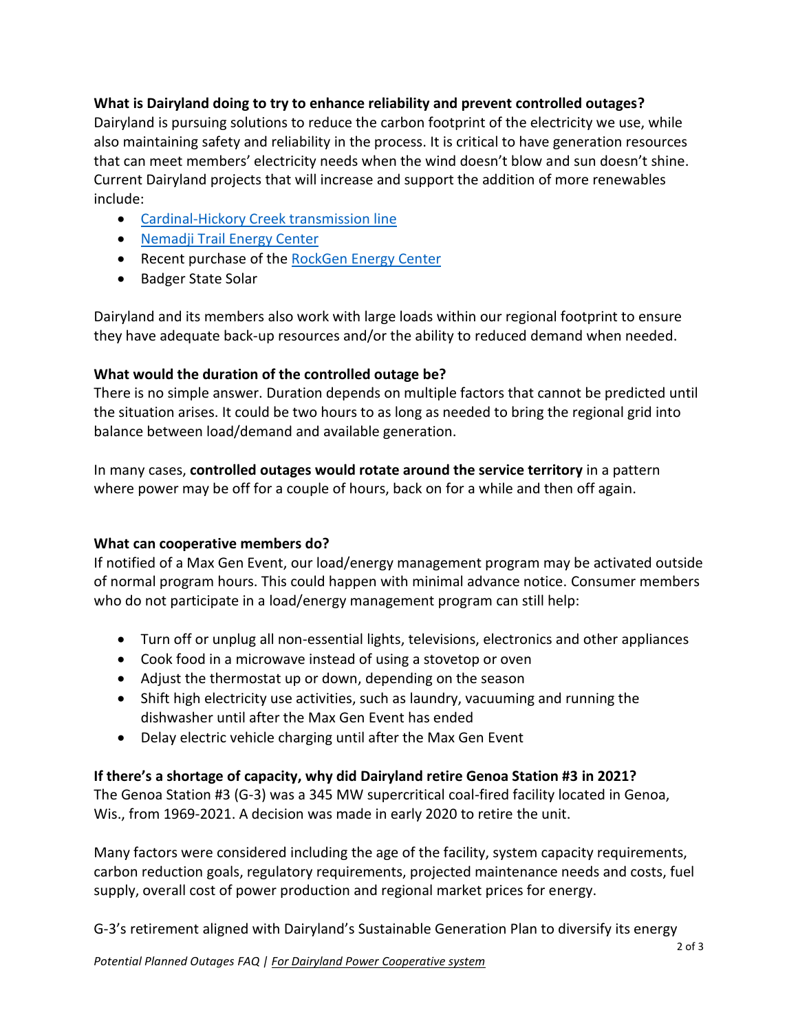## **What is Dairyland doing to try to enhance reliability and prevent controlled outages?**

Dairyland is pursuing solutions to reduce the carbon footprint of the electricity we use, while also maintaining safety and reliability in the process. It is critical to have generation resources that can meet members' electricity needs when the wind doesn't blow and sun doesn't shine. Current Dairyland projects that will increase and support the addition of more renewables include:

- [Cardinal-Hickory Creek transmission line](https://www.cardinal-hickorycreek.com/)
- [Nemadji Trail Energy Center](http://nemadjitrailenergycenter.com/)
- Recent purchase of the [RockGen Energy Center](https://www.dairylandpower.com/dairyland-acquires-rockgen-energy-center)
- Badger State Solar

Dairyland and its members also work with large loads within our regional footprint to ensure they have adequate back-up resources and/or the ability to reduced demand when needed.

## **What would the duration of the controlled outage be?**

There is no simple answer. Duration depends on multiple factors that cannot be predicted until the situation arises. It could be two hours to as long as needed to bring the regional grid into balance between load/demand and available generation.

In many cases, **controlled outages would rotate around the service territory** in a pattern where power may be off for a couple of hours, back on for a while and then off again.

## **What can cooperative members do?**

If notified of a Max Gen Event, our load/energy management program may be activated outside of normal program hours. This could happen with minimal advance notice. Consumer members who do not participate in a load/energy management program can still help:

- Turn off or unplug all non-essential lights, televisions, electronics and other appliances
- Cook food in a microwave instead of using a stovetop or oven
- Adjust the thermostat up or down, depending on the season
- Shift high electricity use activities, such as laundry, vacuuming and running the dishwasher until after the Max Gen Event has ended
- Delay electric vehicle charging until after the Max Gen Event

## **If there's a shortage of capacity, why did Dairyland retire Genoa Station #3 in 2021?**

The Genoa Station #3 (G-3) was a 345 MW supercritical coal-fired facility located in Genoa, Wis., from 1969-2021. A decision was made in early 2020 to retire the unit.

Many factors were considered including the age of the facility, system capacity requirements, carbon reduction goals, regulatory requirements, projected maintenance needs and costs, fuel supply, overall cost of power production and regional market prices for energy.

G-3's retirement aligned with Dairyland's Sustainable Generation Plan to diversify its energy